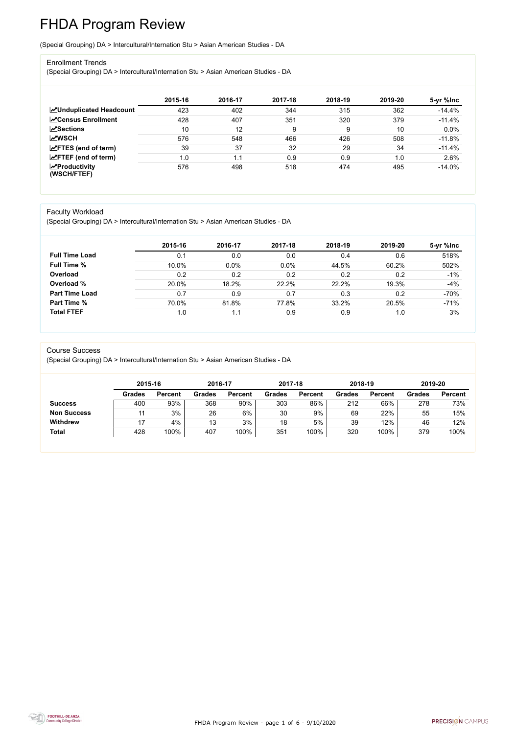FHDA Program Review - page 1 of 6 - 9/10/2020



# FHDA Program Review

(Special Grouping) DA > Intercultural/Internation Stu > Asian American Studies - DA

#### Enrollment Trends

(Special Grouping) DA > Intercultural/Internation Stu > Asian American Studies - DA

|                                    | 2015-16 | 2016-17 | 2017-18 | 2018-19 | 2019-20 | 5-yr %lnc |
|------------------------------------|---------|---------|---------|---------|---------|-----------|
| <b>ZUnduplicated Headcount</b>     | 423     | 402     | 344     | 315     | 362     | $-14.4%$  |
| <b>Census Enrollment</b>           | 428     | 407     | 351     | 320     | 379     | $-11.4%$  |
| <b>ZSections</b>                   | 10      | 12      | 9       | 9       | 10      | 0.0%      |
| <b>MWSCH</b>                       | 576     | 548     | 466     | 426     | 508     | $-11.8%$  |
| $\angle$ FTES (end of term)        | 39      | 37      | 32      | 29      | 34      | $-11.4%$  |
| $\angle$ FTEF (end of term)        | 1.0     | 1.1     | 0.9     | 0.9     | 1.0     | 2.6%      |
| $\chi$ Productivity<br>(WSCH/FTEF) | 576     | 498     | 518     | 474     | 495     | $-14.0%$  |

#### Faculty Workload

(Special Grouping) DA > Intercultural/Internation Stu > Asian American Studies - DA

|                       | 2015-16 | 2016-17 | 2017-18 | 2018-19 | 2019-20 | 5-yr %lnc |
|-----------------------|---------|---------|---------|---------|---------|-----------|
| <b>Full Time Load</b> | 0.1     | 0.0     | 0.0     | 0.4     | 0.6     | 518%      |
| <b>Full Time %</b>    | 10.0%   | $0.0\%$ | 0.0%    | 44.5%   | 60.2%   | 502%      |
| Overload              | 0.2     | 0.2     | 0.2     | 0.2     | 0.2     | $-1%$     |
| Overload %            | 20.0%   | 18.2%   | 22.2%   | 22.2%   | 19.3%   | $-4%$     |
| <b>Part Time Load</b> | 0.7     | 0.9     | 0.7     | 0.3     | 0.2     | $-70%$    |
| <b>Part Time %</b>    | 70.0%   | 81.8%   | 77.8%   | 33.2%   | 20.5%   | $-71%$    |
| <b>Total FTEF</b>     | 1.0     |         | 0.9     | 0.9     | 1.0     | 3%        |

#### Course Success

(Special Grouping) DA > Intercultural/Internation Stu > Asian American Studies - DA

|                    | 2015-16       |                | 2016-17       |                | 2017-18       |                | 2018-19 |                | 2019-20 |                |
|--------------------|---------------|----------------|---------------|----------------|---------------|----------------|---------|----------------|---------|----------------|
|                    | <b>Grades</b> | <b>Percent</b> | <b>Grades</b> | <b>Percent</b> | <b>Grades</b> | <b>Percent</b> | Grades  | <b>Percent</b> | Grades  | <b>Percent</b> |
| <b>Success</b>     | 400           | 93%            | 368           | 90%            | 303           | 86%            | 212     | 66%            | 278     | 73%            |
| <b>Non Success</b> |               | 3%             | 26            | 6%             | 30            | 9%             | 69      | 22%            | 55      | 15%            |
| <b>Withdrew</b>    |               | 4%             | 13            | 3%             | 18            | 5%             | 39      | 12%            | 46      | 12%            |
| <b>Total</b>       | 428           | 100%           | 407           | 100%           | 351           | 100%           | 320     | 100%           | 379     | 100%           |

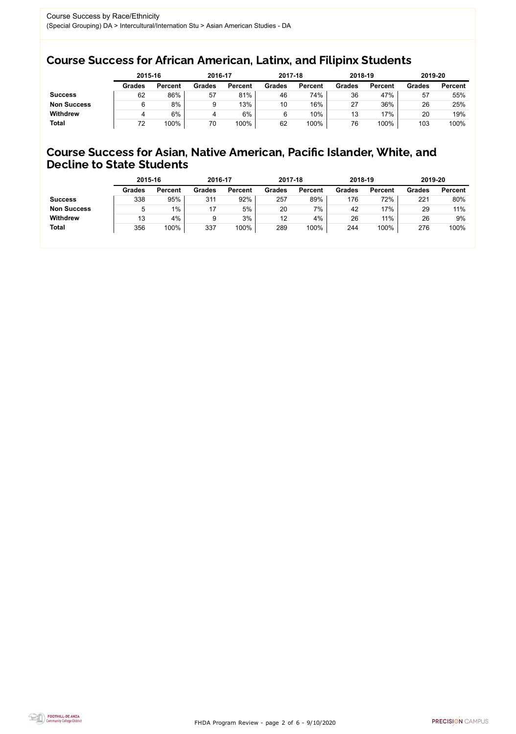FHDA Program Review - page 2 of 6 - 9/10/2020



## Course Success for African American, Latinx, and Filipinx Students

## Course Success for Asian, Native American, Pacific Islander, White, and Decline to State Students

|                    | 2015-16       |                | 2016-17       |                | 2017-18       |                | 2018-19       |                | 2019-20       |                |
|--------------------|---------------|----------------|---------------|----------------|---------------|----------------|---------------|----------------|---------------|----------------|
|                    | <b>Grades</b> | <b>Percent</b> | <b>Grades</b> | <b>Percent</b> | <b>Grades</b> | <b>Percent</b> | <b>Grades</b> | <b>Percent</b> | <b>Grades</b> | <b>Percent</b> |
| <b>Success</b>     | 62            | 86%            | 57            | 81%            | 46            | 74%            | 36            | 47%            | 57            | 55%            |
| <b>Non Success</b> |               | 8%             |               | 13%            | 10            | 16%            | 27            | 36%            | 26            | 25%            |
| <b>Withdrew</b>    |               | 6%             |               | 6%             |               | 10%            | 13            | 17%            | 20            | 19%            |
| <b>Total</b>       | 72            | 100%           | 70            | 100%           | 62            | 100%           | 76            | 100%           | 103           | 100%           |

|                    | 2015-16       |                | 2016-17       |                | 2017-18       |                | 2018-19       |                | 2019-20       |                |
|--------------------|---------------|----------------|---------------|----------------|---------------|----------------|---------------|----------------|---------------|----------------|
|                    | <b>Grades</b> | <b>Percent</b> | <b>Grades</b> | <b>Percent</b> | <b>Grades</b> | <b>Percent</b> | <b>Grades</b> | <b>Percent</b> | <b>Grades</b> | <b>Percent</b> |
| <b>Success</b>     | 338           | 95%            | 311           | 92%            | 257           | 89%            | 176           | 72%            | 221           | 80%            |
| <b>Non Success</b> | 5             | 1%             |               | 5%             | 20            | $7\%$          | 42            | 17%            | 29            | 11%            |
| <b>Withdrew</b>    | 13            | 4%             | 9             | 3%             | 12            | 4%             | 26            | 11%            | 26            | 9%             |
| <b>Total</b>       | 356           | 100%           | 337           | 100%           | 289           | 100%           | 244           | 100%           | 276           | 100%           |
|                    |               |                |               |                |               |                |               |                |               |                |

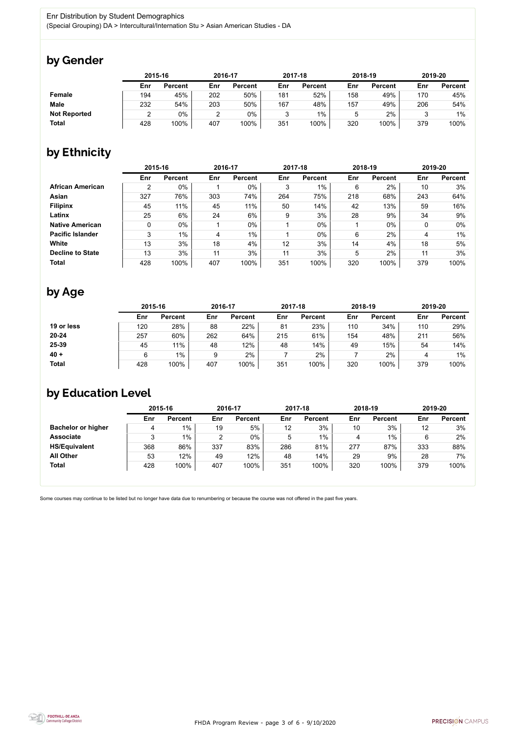

Some courses may continue to be listed but no longer have data due to renumbering or because the course was not offered in the past five years.



## by Gender

|                     |     | 2015-16        |     | 2016-17        |     | 2017-18        |     | 2018-19        |     | 2019-20        |  |
|---------------------|-----|----------------|-----|----------------|-----|----------------|-----|----------------|-----|----------------|--|
|                     | Enr | <b>Percent</b> | Enr | <b>Percent</b> | Enr | <b>Percent</b> | Enr | <b>Percent</b> | Enr | <b>Percent</b> |  |
| <b>Female</b>       | 194 | 45%            | 202 | 50%            | 181 | 52%            | 158 | 49%            | 170 | 45%            |  |
| <b>Male</b>         | 232 | 54%            | 203 | 50%            | 167 | 48%            | 157 | 49%            | 206 | 54%            |  |
| <b>Not Reported</b> |     | 0%             |     | 0%             | ◠   | $1\%$          | ა   | 2%             |     | $1\%$          |  |
| <b>Total</b>        | 428 | 100%           | 407 | 100%           | 351 | 100%           | 320 | 100%           | 379 | 100%           |  |

# by Ethnicity

|                         |     | 2015-16        |     | 2016-17        |     | 2017-18        |            | 2018-19        | 2019-20 |                |
|-------------------------|-----|----------------|-----|----------------|-----|----------------|------------|----------------|---------|----------------|
|                         | Enr | <b>Percent</b> | Enr | <b>Percent</b> | Enr | <b>Percent</b> | <b>Enr</b> | <b>Percent</b> | Enr     | <b>Percent</b> |
| <b>African American</b> | 2   | 0%             |     | 0%             | 3   | $1\%$          | 6          | 2%             | 10      | 3%             |
| Asian                   | 327 | 76%            | 303 | 74%            | 264 | 75%            | 218        | 68%            | 243     | 64%            |
| <b>Filipinx</b>         | 45  | 11%            | 45  | 11%            | 50  | 14%            | 42         | 13%            | 59      | 16%            |
| Latinx                  | 25  | 6%             | 24  | 6%             | 9   | 3%             | 28         | 9%             | 34      | 9%             |
| <b>Native American</b>  | 0   | $0\%$          |     | $0\%$          |     | $0\%$          |            | $0\%$          |         | 0%             |
| <b>Pacific Islander</b> | 3   | 1%             | 4   | $1\%$          |     | $0\%$          | 6          | 2%             | 4       | 1%             |
| White                   | 13  | 3%             | 18  | 4%             | 12  | 3%             | 14         | 4%             | 18      | 5%             |
| <b>Decline to State</b> | 13  | 3%             | 11  | 3%             | 11  | 3%             | 5          | 2%             | 11      | 3%             |
| <b>Total</b>            | 428 | 100%           | 407 | 100%           | 351 | 100%           | 320        | 100%           | 379     | 100%           |

# by Age

|              | 2015-16 |                |     | 2016-17        |     | 2017-18        |     | 2018-19        | 2019-20 |                |
|--------------|---------|----------------|-----|----------------|-----|----------------|-----|----------------|---------|----------------|
|              | Enr     | <b>Percent</b> | Enr | <b>Percent</b> | Enr | <b>Percent</b> | Enr | <b>Percent</b> | Enr     | <b>Percent</b> |
| 19 or less   | 120     | 28%            | 88  | 22%            | 81  | 23%            | 110 | 34%            | 110     | 29%            |
| $20 - 24$    | 257     | 60%            | 262 | 64%            | 215 | 61%            | 154 | 48%            | 211     | 56%            |
| 25-39        | 45      | 11%            | 48  | 12%            | 48  | 14%            | 49  | 15%            | 54      | 14%            |
| $40 +$       | 6       | $1\%$          | 9   | 2%             |     | 2%             |     | 2%             |         | $1\%$          |
| <b>Total</b> | 428     | 100%           | 407 | 100%           | 351 | 100%           | 320 | 100%           | 379     | 100%           |

# by Education Level

|                           | 2015-16 |                |     | 2016-17        |     | 2017-18        | 2018-19 |                | 2019-20 |                |
|---------------------------|---------|----------------|-----|----------------|-----|----------------|---------|----------------|---------|----------------|
|                           | Enr     | <b>Percent</b> | Enr | <b>Percent</b> | Enr | <b>Percent</b> | Enr     | <b>Percent</b> | Enr     | <b>Percent</b> |
| <b>Bachelor or higher</b> | 4       | $1\%$          | 19  | 5%             | 12  | 3%             | 10      | 3%             | 12      | 3%             |
| <b>Associate</b>          | ບ       | $1\%$          | 2   | 0%             | 5   | 1%             | 4       | 1%             | 6       | 2%             |
| <b>HS/Equivalent</b>      | 368     | 86%            | 337 | 83%            | 286 | 81%            | 277     | 87%            | 333     | 88%            |
| <b>All Other</b>          | 53      | 12%            | 49  | 12%            | 48  | 14%            | 29      | 9%             | 28      | 7%             |
| <b>Total</b>              | 428     | 100%           | 407 | 100%           | 351 | 100%           | 320     | 100%           | 379     | 100%           |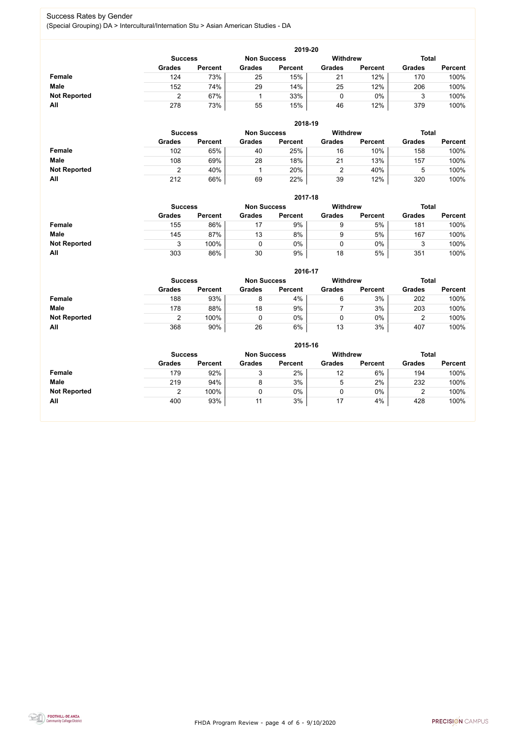FHDA Program Review - page 4 of 6 - 9/10/2020



#### Success Rates by Gender (Special Grouping) DA > Intercultural/Internation Stu > Asian American Studies - DA

|                     | 2019-20                                                                 |                |               |                |               |                |               |                |  |  |  |  |
|---------------------|-------------------------------------------------------------------------|----------------|---------------|----------------|---------------|----------------|---------------|----------------|--|--|--|--|
|                     | <b>Withdrew</b><br><b>Total</b><br><b>Non Success</b><br><b>Success</b> |                |               |                |               |                |               |                |  |  |  |  |
|                     | <b>Grades</b>                                                           | <b>Percent</b> | <b>Grades</b> | <b>Percent</b> | <b>Grades</b> | <b>Percent</b> | <b>Grades</b> | <b>Percent</b> |  |  |  |  |
| <b>Female</b>       | 124                                                                     | 73%            | 25            | 15%            | 21            | 12%            | 170           | 100%           |  |  |  |  |
| <b>Male</b>         | 152                                                                     | 74%            | 29            | 14%            | 25            | 12%            | 206           | 100%           |  |  |  |  |
| <b>Not Reported</b> |                                                                         | 67%            |               | 33%            |               | $0\%$          |               | 100%           |  |  |  |  |
| All                 | 278                                                                     | 73%            | 55            | 15%            | 46            | 12%            | 379           | 100%           |  |  |  |  |

|                     |               | 2018-19                              |               |                |               |                |               |                |  |  |  |  |  |
|---------------------|---------------|--------------------------------------|---------------|----------------|---------------|----------------|---------------|----------------|--|--|--|--|--|
|                     |               | <b>Non Success</b><br><b>Success</b> |               |                |               |                | <b>Total</b>  |                |  |  |  |  |  |
|                     | <b>Grades</b> | <b>Percent</b>                       | <b>Grades</b> | <b>Percent</b> | <b>Grades</b> | <b>Percent</b> | <b>Grades</b> | <b>Percent</b> |  |  |  |  |  |
| <b>Female</b>       | 102           | 65%                                  | 40            | 25%            | 16            | 10%            | 158           | 100%           |  |  |  |  |  |
| <b>Male</b>         | 108           | 69%                                  | 28            | 18%            | 21            | 13%            | 157           | 100%           |  |  |  |  |  |
| <b>Not Reported</b> |               | 40%                                  |               | 20%            |               | 40%            |               | 100%           |  |  |  |  |  |
| All                 | 212           | 66%                                  | 69            | 22%            | 39            | 12%            | 320           | 100%           |  |  |  |  |  |

|                     |               | 2017-18                                                                 |               |                |               |                |               |                |  |  |  |  |  |
|---------------------|---------------|-------------------------------------------------------------------------|---------------|----------------|---------------|----------------|---------------|----------------|--|--|--|--|--|
|                     |               | <b>Withdrew</b><br><b>Total</b><br><b>Non Success</b><br><b>Success</b> |               |                |               |                |               |                |  |  |  |  |  |
|                     | <b>Grades</b> | <b>Percent</b>                                                          | <b>Grades</b> | <b>Percent</b> | <b>Grades</b> | <b>Percent</b> | <b>Grades</b> | <b>Percent</b> |  |  |  |  |  |
| <b>Female</b>       | 155           | 86%                                                                     | 17            | 9%             | 9             | 5%             | 181           | 100%           |  |  |  |  |  |
| <b>Male</b>         | 145           | 87%                                                                     | 13            | 8%             | 9             | 5%             | 167           | 100%           |  |  |  |  |  |
| <b>Not Reported</b> |               | 100%                                                                    |               | 0%             |               | 0%             | ≏<br>w        | 100%           |  |  |  |  |  |
| All                 | 303           | 86%                                                                     | 30            | 9%             | 18            | 5%             | 351           | 100%           |  |  |  |  |  |

|                     |                | 2016-17        |                    |                |                 |                |               |                |  |  |
|---------------------|----------------|----------------|--------------------|----------------|-----------------|----------------|---------------|----------------|--|--|
|                     | <b>Success</b> |                | <b>Non Success</b> |                | <b>Withdrew</b> |                | <b>Total</b>  |                |  |  |
|                     | <b>Grades</b>  | <b>Percent</b> | <b>Grades</b>      | <b>Percent</b> | <b>Grades</b>   | <b>Percent</b> | <b>Grades</b> | <b>Percent</b> |  |  |
| Female              | 188            | 93%            |                    | 4%             | 6               | 3%             | 202           | 100%           |  |  |
| <b>Male</b>         | 178            | 88%            | 18                 | 9%             |                 | 3%             | 203           | 100%           |  |  |
| <b>Not Reported</b> |                | 100%           |                    | 0%             |                 | $0\%$          |               | 100%           |  |  |
| All                 | 368            | 90%            | 26                 | 6%             | 13              | 3%             | 407           | 100%           |  |  |

|                     |                                                                  |                |               | 2015-16        |               |                |               |                |
|---------------------|------------------------------------------------------------------|----------------|---------------|----------------|---------------|----------------|---------------|----------------|
|                     | Withdrew<br><b>Total</b><br><b>Non Success</b><br><b>Success</b> |                |               |                |               |                |               |                |
|                     | <b>Grades</b>                                                    | <b>Percent</b> | <b>Grades</b> | <b>Percent</b> | <b>Grades</b> | <b>Percent</b> | <b>Grades</b> | <b>Percent</b> |
| Female              | 179                                                              | 92%            | 3             | 2%             | 12            | 6%             | 194           | 100%           |
| <b>Male</b>         | 219                                                              | 94%            | 8             | 3%             | ხ             | 2%             | 232           | 100%           |
| <b>Not Reported</b> | ◠                                                                | 100%           | 0             | $0\%$          | υ             | $0\%$          |               | 100%           |
| All                 | 400                                                              | 93%            | 11            | 3%             | 17            | 4%             | 428           | 100%           |

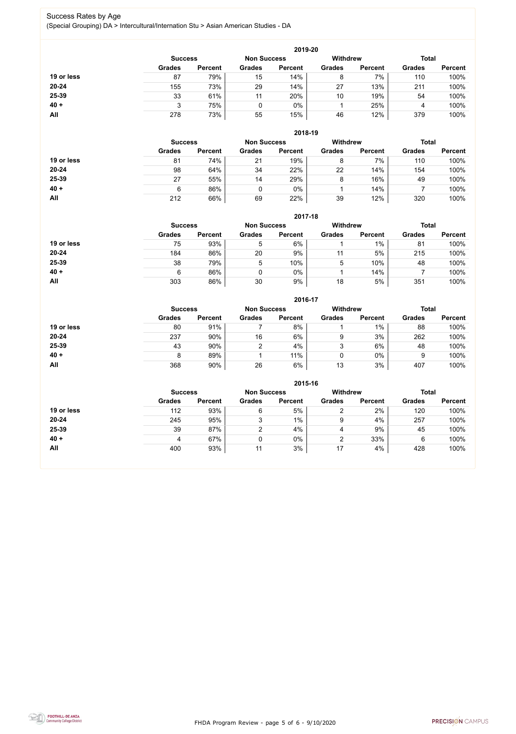FHDA Program Review - page 5 of 6 - 9/10/2020



#### Success Rates by Age (Special Grouping) DA > Intercultural/Internation Stu > Asian American Studies - DA

|            |                |                    |               | 2019-20         |               |                |               |                |
|------------|----------------|--------------------|---------------|-----------------|---------------|----------------|---------------|----------------|
|            | <b>Success</b> | <b>Non Success</b> |               | <b>Withdrew</b> |               | <b>Total</b>   |               |                |
|            | <b>Grades</b>  | <b>Percent</b>     | <b>Grades</b> | <b>Percent</b>  | <b>Grades</b> | <b>Percent</b> | <b>Grades</b> | <b>Percent</b> |
| 19 or less | 87             | 79%                | 15            | 14%             | 8             | 7%             | 110           | 100%           |
| $20 - 24$  | 155            | 73%                | 29            | 14%             | 27            | 13%            | 211           | 100%           |
| 25-39      | 33             | 61%                | 11            | 20%             | 10            | 19%            | 54            | 100%           |
| $40 +$     |                | 75%                | 0             | 0%              |               | 25%            | 4             | 100%           |
| All        | 278            | 73%                | 55            | 15%             | 46            | 12%            | 379           | 100%           |

|            |                |                    |               | 2018-19         |               |                |               |                |
|------------|----------------|--------------------|---------------|-----------------|---------------|----------------|---------------|----------------|
|            | <b>Success</b> | <b>Non Success</b> |               | <b>Withdrew</b> |               | <b>Total</b>   |               |                |
|            | <b>Grades</b>  | <b>Percent</b>     | <b>Grades</b> | <b>Percent</b>  | <b>Grades</b> | <b>Percent</b> | <b>Grades</b> | <b>Percent</b> |
| 19 or less | 81             | 74%                | 21            | 19%             | 8             | 7%             | 110           | 100%           |
| $20 - 24$  | 98             | 64%                | 34            | 22%             | 22            | 14%            | 154           | 100%           |
| 25-39      | 27             | 55%                | 14            | 29%             | 8             | 16%            | 49            | 100%           |
| $40 +$     | 6              | 86%                |               | $0\%$           |               | 14%            |               | 100%           |
| All        | 212            | 66%                | 69            | 22%             | 39            | 12%            | 320           | 100%           |

**2017-18**

|            |                |                    |               | 2017-18        |                                 |                |               |                |
|------------|----------------|--------------------|---------------|----------------|---------------------------------|----------------|---------------|----------------|
|            | <b>Success</b> | <b>Non Success</b> |               |                | <b>Withdrew</b><br><b>Total</b> |                |               |                |
|            | <b>Grades</b>  | <b>Percent</b>     | <b>Grades</b> | <b>Percent</b> | <b>Grades</b>                   | <b>Percent</b> | <b>Grades</b> | <b>Percent</b> |
| 19 or less | 75             | 93%                | 5             | 6%             |                                 | 1%             | 81            | 100%           |
| $20 - 24$  | 184            | 86%                | 20            | 9%             | 11                              | 5%             | 215           | 100%           |
| 25-39      | 38             | 79%                | 5             | 10%            | 5                               | 10%            | 48            | 100%           |
| $40 +$     | 6              | 86%                |               | 0%             |                                 | 14%            |               | 100%           |
| All        | 303            | 86%                | 30            | 9%             | 18                              | 5%             | 351           | 100%           |

**2016-17**



|            |                |                |                    | <b>ZU16-17</b> |                 |                |               |                |
|------------|----------------|----------------|--------------------|----------------|-----------------|----------------|---------------|----------------|
|            | <b>Success</b> |                | <b>Non Success</b> |                | <b>Withdrew</b> |                | <b>Total</b>  |                |
|            | <b>Grades</b>  | <b>Percent</b> | <b>Grades</b>      | <b>Percent</b> | <b>Grades</b>   | <b>Percent</b> | <b>Grades</b> | <b>Percent</b> |
| 19 or less | 80             | 91%            |                    | 8%             |                 | $1\%$          | 88            | 100%           |
| 20-24      | 237            | 90%            | 16                 | 6%             | 9               | 3%             | 262           | 100%           |
| 25-39      | 43             | 90%            |                    | 4%             | 3               | 6%             | 48            | 100%           |
| $40 +$     | 8              | 89%            |                    | 11%            | 0               | $0\%$          | 9             | 100%           |
| <b>All</b> | 368            | 90%            | 26                 | 6%             | 13              | 3%             | 407           | 100%           |

|            |                                                                         |                |               | 2015-16        |               |                |               |                |
|------------|-------------------------------------------------------------------------|----------------|---------------|----------------|---------------|----------------|---------------|----------------|
|            | <b>Withdrew</b><br><b>Total</b><br><b>Non Success</b><br><b>Success</b> |                |               |                |               |                |               |                |
|            | <b>Grades</b>                                                           | <b>Percent</b> | <b>Grades</b> | <b>Percent</b> | <b>Grades</b> | <b>Percent</b> | <b>Grades</b> | <b>Percent</b> |
| 19 or less | 112                                                                     | 93%            | 6             | 5%             |               | 2%             | 120           | 100%           |
| $20 - 24$  | 245                                                                     | 95%            | ◠<br>J        | $1\%$          | 9             | 4%             | 257           | 100%           |
| 25-39      | 39                                                                      | 87%            | ⌒             | 4%             | 4             | 9%             | 45            | 100%           |
| $40 +$     | 4                                                                       | 67%            | υ             | 0%             |               | 33%            | 6             | 100%           |
| All        | 400                                                                     | 93%            | 11            | 3%             | 17            | 4%             | 428           | 100%           |